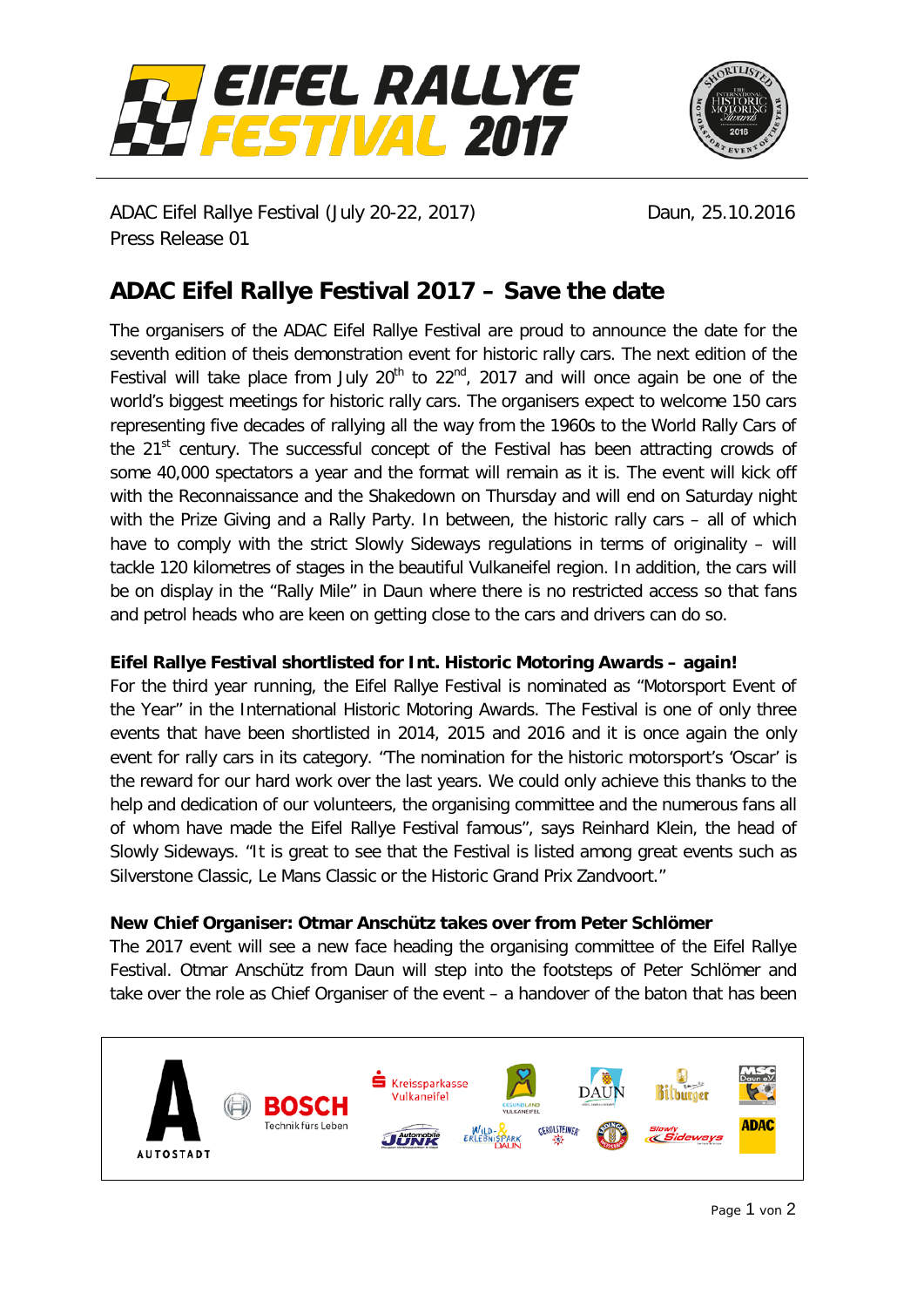



ADAC Eifel Rallye Festival (July 20-22, 2017) Daun, 25.10.2016 Press Release 01

## **ADAC Eifel Rallye Festival 2017 – Save the date**

The organisers of the ADAC Eifel Rallye Festival are proud to announce the date for the seventh edition of theis demonstration event for historic rally cars. The next edition of the Festival will take place from July  $20<sup>th</sup>$  to  $22<sup>nd</sup>$ , 2017 and will once again be one of the world's biggest meetings for historic rally cars. The organisers expect to welcome 150 cars representing five decades of rallying all the way from the 1960s to the World Rally Cars of the  $21<sup>st</sup>$  century. The successful concept of the Festival has been attracting crowds of some 40,000 spectators a year and the format will remain as it is. The event will kick off with the Reconnaissance and the Shakedown on Thursday and will end on Saturday night with the Prize Giving and a Rally Party. In between, the historic rally cars – all of which have to comply with the strict Slowly Sideways regulations in terms of originality – will tackle 120 kilometres of stages in the beautiful Vulkaneifel region. In addition, the cars will be on display in the "Rally Mile" in Daun where there is no restricted access so that fans and petrol heads who are keen on getting close to the cars and drivers can do so.

## **Eifel Rallye Festival shortlisted for Int. Historic Motoring Awards – again!**

For the third year running, the Eifel Rallye Festival is nominated as "Motorsport Event of the Year" in the International Historic Motoring Awards. The Festival is one of only three events that have been shortlisted in 2014, 2015 and 2016 and it is once again the only event for rally cars in its category. "The nomination for the historic motorsport's 'Oscar' is the reward for our hard work over the last years. We could only achieve this thanks to the help and dedication of our volunteers, the organising committee and the numerous fans all of whom have made the Eifel Rallye Festival famous", says Reinhard Klein, the head of Slowly Sideways. "It is great to see that the Festival is listed among great events such as Silverstone Classic, Le Mans Classic or the Historic Grand Prix Zandvoort."

## **New Chief Organiser: Otmar Anschütz takes over from Peter Schlömer**

The 2017 event will see a new face heading the organising committee of the Eifel Rallye Festival. Otmar Anschütz from Daun will step into the footsteps of Peter Schlömer and take over the role as Chief Organiser of the event – a handover of the baton that has been